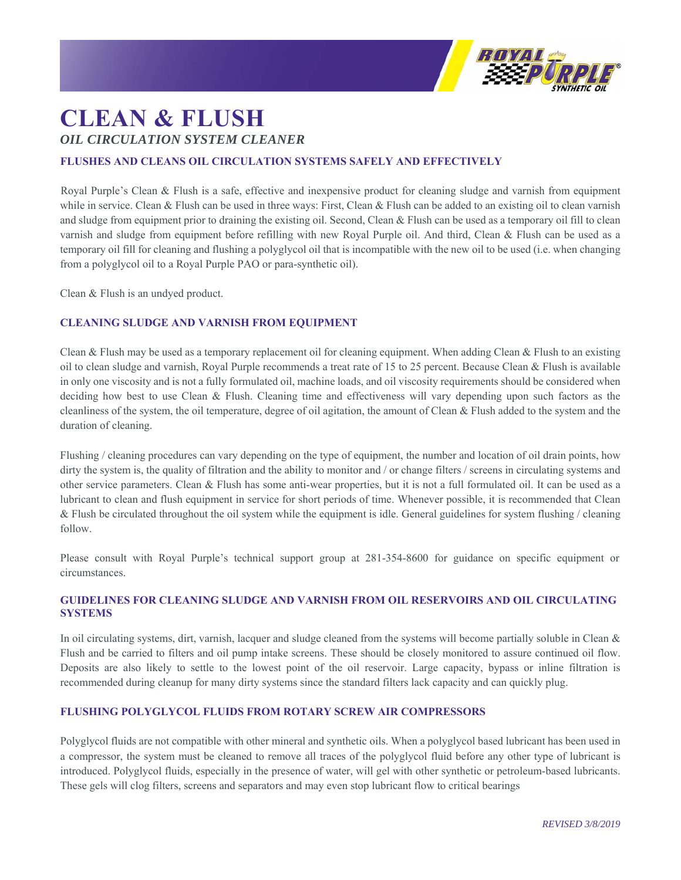

# **CLEAN & FLUSH**  *OIL CIRCULATION SYSTEM CLEANER*

## **FLUSHES AND CLEANS OIL CIRCULATION SYSTEMS SAFELY AND EFFECTIVELY**

Royal Purple's Clean & Flush is a safe, effective and inexpensive product for cleaning sludge and varnish from equipment while in service. Clean & Flush can be used in three ways: First, Clean & Flush can be added to an existing oil to clean varnish and sludge from equipment prior to draining the existing oil. Second, Clean & Flush can be used as a temporary oil fill to clean varnish and sludge from equipment before refilling with new Royal Purple oil. And third, Clean & Flush can be used as a temporary oil fill for cleaning and flushing a polyglycol oil that is incompatible with the new oil to be used (i.e. when changing from a polyglycol oil to a Royal Purple PAO or para-synthetic oil).

Clean & Flush is an undyed product.

#### **CLEANING SLUDGE AND VARNISH FROM EQUIPMENT**

Clean & Flush may be used as a temporary replacement oil for cleaning equipment. When adding Clean & Flush to an existing oil to clean sludge and varnish, Royal Purple recommends a treat rate of 15 to 25 percent. Because Clean & Flush is available in only one viscosity and is not a fully formulated oil, machine loads, and oil viscosity requirements should be considered when deciding how best to use Clean & Flush. Cleaning time and effectiveness will vary depending upon such factors as the cleanliness of the system, the oil temperature, degree of oil agitation, the amount of Clean & Flush added to the system and the duration of cleaning.

Flushing / cleaning procedures can vary depending on the type of equipment, the number and location of oil drain points, how dirty the system is, the quality of filtration and the ability to monitor and / or change filters / screens in circulating systems and other service parameters. Clean & Flush has some anti-wear properties, but it is not a full formulated oil. It can be used as a lubricant to clean and flush equipment in service for short periods of time. Whenever possible, it is recommended that Clean & Flush be circulated throughout the oil system while the equipment is idle. General guidelines for system flushing / cleaning follow.

Please consult with Royal Purple's technical support group at 281-354-8600 for guidance on specific equipment or circumstances.

### **GUIDELINES FOR CLEANING SLUDGE AND VARNISH FROM OIL RESERVOIRS AND OIL CIRCULATING SYSTEMS**

In oil circulating systems, dirt, varnish, lacquer and sludge cleaned from the systems will become partially soluble in Clean & Flush and be carried to filters and oil pump intake screens. These should be closely monitored to assure continued oil flow. Deposits are also likely to settle to the lowest point of the oil reservoir. Large capacity, bypass or inline filtration is recommended during cleanup for many dirty systems since the standard filters lack capacity and can quickly plug.

#### **FLUSHING POLYGLYCOL FLUIDS FROM ROTARY SCREW AIR COMPRESSORS**

Polyglycol fluids are not compatible with other mineral and synthetic oils. When a polyglycol based lubricant has been used in a compressor, the system must be cleaned to remove all traces of the polyglycol fluid before any other type of lubricant is introduced. Polyglycol fluids, especially in the presence of water, will gel with other synthetic or petroleum-based lubricants. These gels will clog filters, screens and separators and may even stop lubricant flow to critical bearings